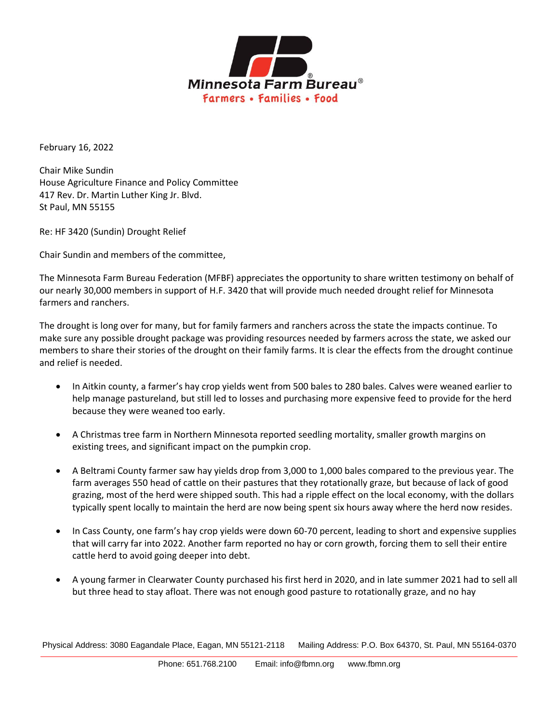

February 16, 2022

Chair Mike Sundin House Agriculture Finance and Policy Committee 417 Rev. Dr. Martin Luther King Jr. Blvd. St Paul, MN 55155

Re: HF 3420 (Sundin) Drought Relief

Chair Sundin and members of the committee,

The Minnesota Farm Bureau Federation (MFBF) appreciates the opportunity to share written testimony on behalf of our nearly 30,000 members in support of H.F. 3420 that will provide much needed drought relief for Minnesota farmers and ranchers.

The drought is long over for many, but for family farmers and ranchers across the state the impacts continue. To make sure any possible drought package was providing resources needed by farmers across the state, we asked our members to share their stories of the drought on their family farms. It is clear the effects from the drought continue and relief is needed.

- In Aitkin county, a farmer's hay crop yields went from 500 bales to 280 bales. Calves were weaned earlier to help manage pastureland, but still led to losses and purchasing more expensive feed to provide for the herd because they were weaned too early.
- A Christmas tree farm in Northern Minnesota reported seedling mortality, smaller growth margins on existing trees, and significant impact on the pumpkin crop.
- A Beltrami County farmer saw hay yields drop from 3,000 to 1,000 bales compared to the previous year. The farm averages 550 head of cattle on their pastures that they rotationally graze, but because of lack of good grazing, most of the herd were shipped south. This had a ripple effect on the local economy, with the dollars typically spent locally to maintain the herd are now being spent six hours away where the herd now resides.
- In Cass County, one farm's hay crop yields were down 60-70 percent, leading to short and expensive supplies that will carry far into 2022. Another farm reported no hay or corn growth, forcing them to sell their entire cattle herd to avoid going deeper into debt.
- A young farmer in Clearwater County purchased his first herd in 2020, and in late summer 2021 had to sell all but three head to stay afloat. There was not enough good pasture to rotationally graze, and no hay